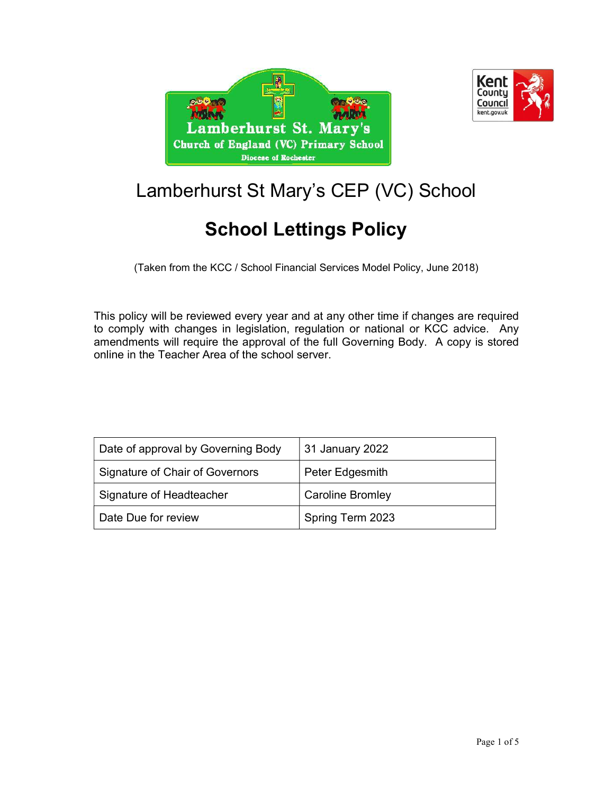



# Lamberhurst St Mary's CEP (VC) School

# School Lettings Policy

(Taken from the KCC / School Financial Services Model Policy, June 2018)

This policy will be reviewed every year and at any other time if changes are required to comply with changes in legislation, regulation or national or KCC advice. Any amendments will require the approval of the full Governing Body. A copy is stored online in the Teacher Area of the school server.

| Date of approval by Governing Body | 31 January 2022         |
|------------------------------------|-------------------------|
| Signature of Chair of Governors    | Peter Edgesmith         |
| Signature of Headteacher           | <b>Caroline Bromley</b> |
| Date Due for review                | Spring Term 2023        |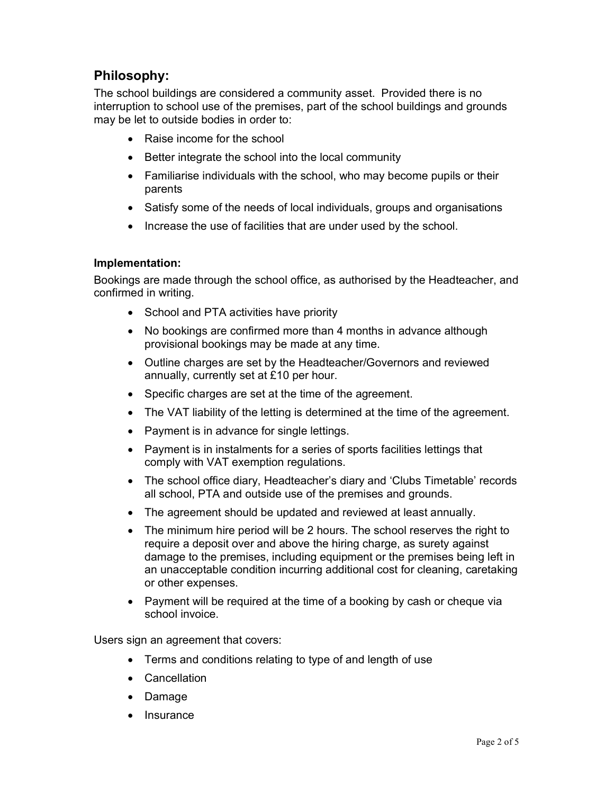### Philosophy:

The school buildings are considered a community asset. Provided there is no interruption to school use of the premises, part of the school buildings and grounds may be let to outside bodies in order to:

- Raise income for the school
- Better integrate the school into the local community
- Familiarise individuals with the school, who may become pupils or their parents
- Satisfy some of the needs of local individuals, groups and organisations
- Increase the use of facilities that are under used by the school.

#### Implementation:

Bookings are made through the school office, as authorised by the Headteacher, and confirmed in writing.

- School and PTA activities have priority
- No bookings are confirmed more than 4 months in advance although provisional bookings may be made at any time.
- Outline charges are set by the Headteacher/Governors and reviewed annually, currently set at £10 per hour.
- Specific charges are set at the time of the agreement.
- The VAT liability of the letting is determined at the time of the agreement.
- Payment is in advance for single lettings.
- Payment is in instalments for a series of sports facilities lettings that comply with VAT exemption regulations.
- The school office diary, Headteacher's diary and 'Clubs Timetable' records all school, PTA and outside use of the premises and grounds.
- The agreement should be updated and reviewed at least annually.
- The minimum hire period will be 2 hours. The school reserves the right to require a deposit over and above the hiring charge, as surety against damage to the premises, including equipment or the premises being left in an unacceptable condition incurring additional cost for cleaning, caretaking or other expenses.
- Payment will be required at the time of a booking by cash or cheque via school invoice.

Users sign an agreement that covers:

- Terms and conditions relating to type of and length of use
- Cancellation
- Damage
- **Insurance**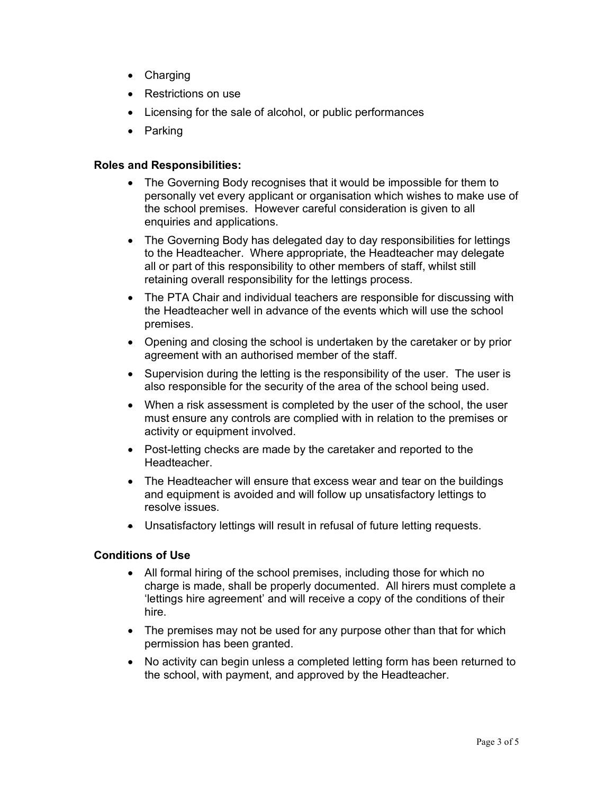- Charging
- Restrictions on use
- Licensing for the sale of alcohol, or public performances
- Parking

#### Roles and Responsibilities:

- The Governing Body recognises that it would be impossible for them to personally vet every applicant or organisation which wishes to make use of the school premises. However careful consideration is given to all enquiries and applications.
- The Governing Body has delegated day to day responsibilities for lettings to the Headteacher. Where appropriate, the Headteacher may delegate all or part of this responsibility to other members of staff, whilst still retaining overall responsibility for the lettings process.
- The PTA Chair and individual teachers are responsible for discussing with the Headteacher well in advance of the events which will use the school premises.
- Opening and closing the school is undertaken by the caretaker or by prior agreement with an authorised member of the staff.
- Supervision during the letting is the responsibility of the user. The user is also responsible for the security of the area of the school being used.
- When a risk assessment is completed by the user of the school, the user must ensure any controls are complied with in relation to the premises or activity or equipment involved.
- Post-letting checks are made by the caretaker and reported to the **Headteacher**
- The Headteacher will ensure that excess wear and tear on the buildings and equipment is avoided and will follow up unsatisfactory lettings to resolve issues.
- Unsatisfactory lettings will result in refusal of future letting requests.

#### Conditions of Use

- All formal hiring of the school premises, including those for which no charge is made, shall be properly documented. All hirers must complete a 'lettings hire agreement' and will receive a copy of the conditions of their hire.
- The premises may not be used for any purpose other than that for which permission has been granted.
- No activity can begin unless a completed letting form has been returned to the school, with payment, and approved by the Headteacher.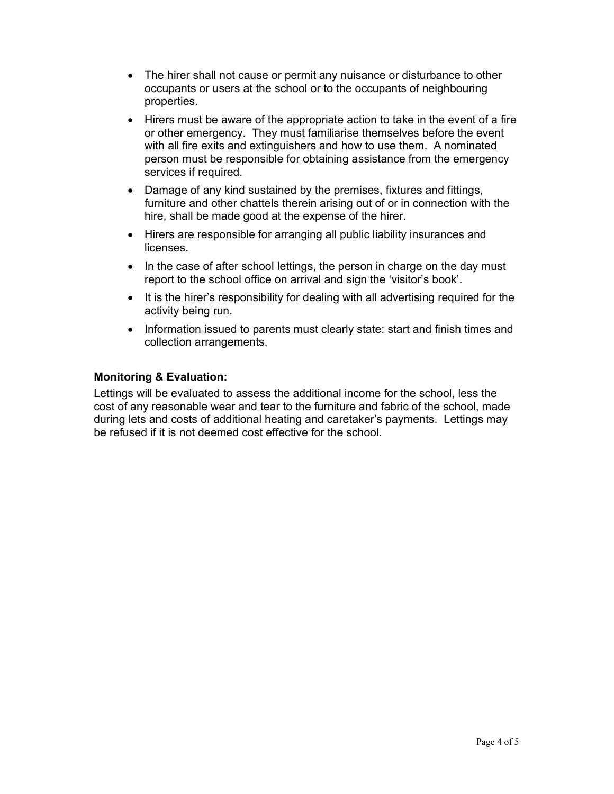- The hirer shall not cause or permit any nuisance or disturbance to other occupants or users at the school or to the occupants of neighbouring properties.
- Hirers must be aware of the appropriate action to take in the event of a fire or other emergency. They must familiarise themselves before the event with all fire exits and extinguishers and how to use them. A nominated person must be responsible for obtaining assistance from the emergency services if required.
- Damage of any kind sustained by the premises, fixtures and fittings, furniture and other chattels therein arising out of or in connection with the hire, shall be made good at the expense of the hirer.
- Hirers are responsible for arranging all public liability insurances and licenses.
- In the case of after school lettings, the person in charge on the day must report to the school office on arrival and sign the 'visitor's book'.
- It is the hirer's responsibility for dealing with all advertising required for the activity being run.
- Information issued to parents must clearly state: start and finish times and collection arrangements.

#### Monitoring & Evaluation:

Lettings will be evaluated to assess the additional income for the school, less the cost of any reasonable wear and tear to the furniture and fabric of the school, made during lets and costs of additional heating and caretaker's payments. Lettings may be refused if it is not deemed cost effective for the school.